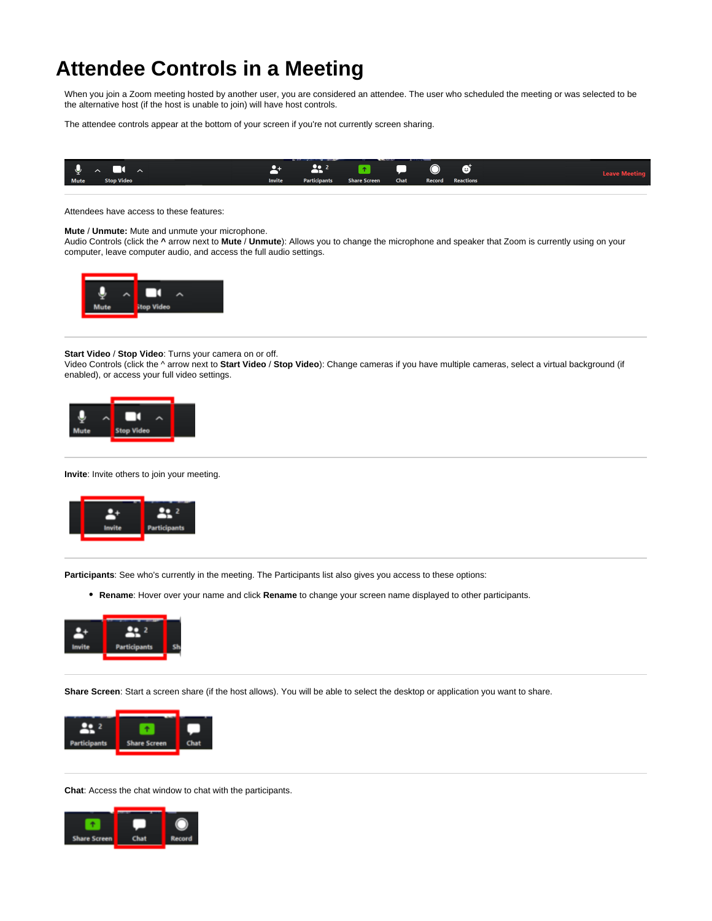## **Attendee Controls in a Meeting**

When you join a Zoom meeting hosted by another user, you are considered an attendee. The user who scheduled the meeting or was selected to be the alternative host (if the host is unable to join) will have host controls.

The attendee controls appear at the bottom of your screen if you're not currently screen sharing.



Attendees have access to these features:

## **Mute** / **Unmute:** Mute and unmute your microphone.

Audio Controls (click the **^** arrow next to **Mute** / **Unmute**): Allows you to change the microphone and speaker that Zoom is currently using on your computer, leave computer audio, and access the full audio settings.



## **Start Video** / **Stop Video**: Turns your camera on or off.

Video Controls (click the ^ arrow next to **Start Video** / **Stop Video**): Change cameras if you have multiple cameras, select a virtual background (if enabled), or access your full video settings.



**Invite**: Invite others to join your meeting.



**Participants**: See who's currently in the meeting. The Participants list also gives you access to these options:

**Rename**: Hover over your name and click **Rename** to change your screen name displayed to other participants.



**Share Screen**: Start a screen share (if the host allows). You will be able to select the desktop or application you want to share.



**Chat**: Access the chat window to chat with the participants.